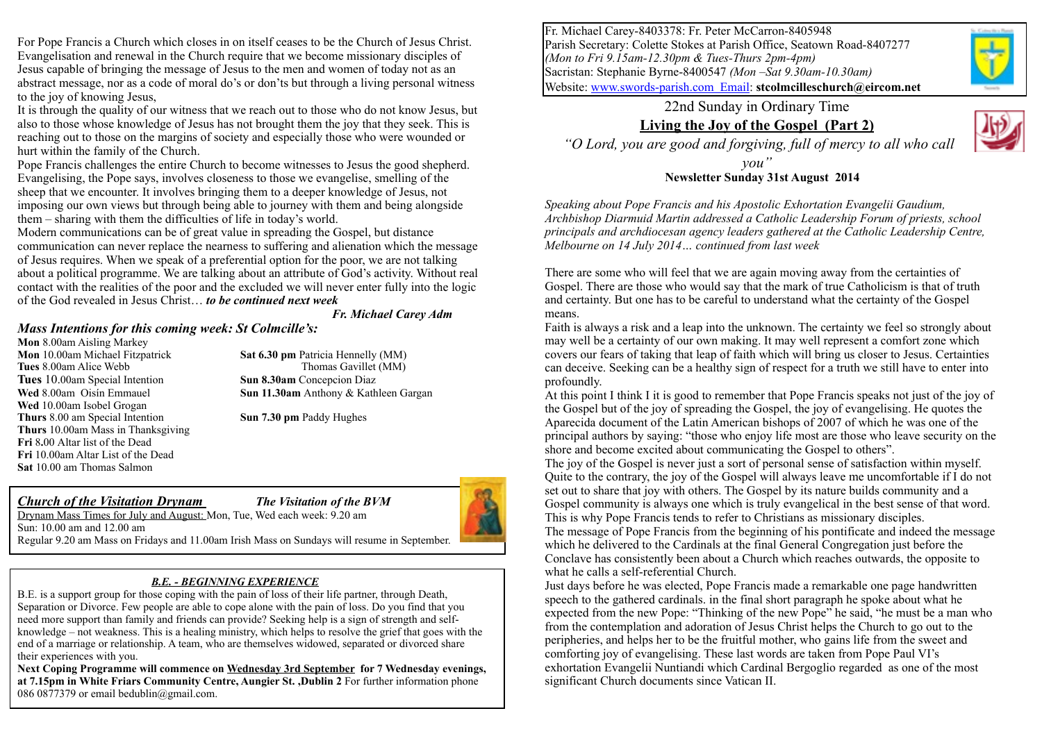For Pope Francis a Church which closes in on itself ceases to be the Church of Jesus Christ. Evangelisation and renewal in the Church require that we become missionary disciples of Jesus capable of bringing the message of Jesus to the men and women of today not as an abstract message, nor as a code of moral do's or don'ts but through a living personal witness to the joy of knowing Jesus,

It is through the quality of our witness that we reach out to those who do not know Jesus, but also to those whose knowledge of Jesus has not brought them the joy that they seek. This is reaching out to those on the margins of society and especially those who were wounded or hurt within the family of the Church.

Pope Francis challenges the entire Church to become witnesses to Jesus the good shepherd. Evangelising, the Pope says, involves closeness to those we evangelise, smelling of the sheep that we encounter. It involves bringing them to a deeper knowledge of Jesus, not imposing our own views but through being able to journey with them and being alongside them – sharing with them the difficulties of life in today's world.

Modern communications can be of great value in spreading the Gospel, but distance communication can never replace the nearness to suffering and alienation which the message of Jesus requires. When we speak of a preferential option for the poor, we are not talking about a political programme. We are talking about an attribute of God's activity. Without real contact with the realities of the poor and the excluded we will never enter fully into the logic of the God revealed in Jesus Christ… *to be continued next week* 

#### *Fr. Michael Carey Adm*

#### *Mass Intentions for this coming week: St Colmcille's:*

**Mon** 8.00am Aisling Markey **Tues** 10.00am Special Intention **Sun 8.30am** Concepcion Diaz **Wed** 10.00am Isobel Grogan **Thurs** 8.00 am Special Intention **Sun 7.30 pm** Paddy Hughes **Thurs** 10.00am Mass in Thanksgiving **Fri** 8**.**00 Altar list of the Dead **Fri** 10.00am Altar List of the Dead **Sat** 10.00 am Thomas Salmon

**Mon** 10.00am Michael Fitzpatrick **Sat 6.30 pm** Patricia Hennelly (MM) **Tues** 8.00am Alice Webb Thomas Gavillet (MM) **Wed** 8.00am Oisín Emmauel **Sun 11.30am** Anthony & Kathleen Gargan

#### *Church of the Visitation Drynam The Visitation of the BVM* Drynam Mass Times for July and August: Mon, Tue, Wed each week: 9.20 am

Sun: 10.00 am and 12.00 am



Regular 9.20 am Mass on Fridays and 11.00am Irish Mass on Sundays will resume in September.

#### *B.E. - BEGINNING EXPERIENCE*

B.E. is a support group for those coping with the pain of loss of their life partner, through Death, Separation or Divorce. Few people are able to cope alone with the pain of loss. Do you find that you need more support than family and friends can provide? Seeking help is a sign of strength and selfknowledge – not weakness. This is a healing ministry, which helps to resolve the grief that goes with the end of a marriage or relationship. A team, who are themselves widowed, separated or divorced share their experiences with you.

**Next Coping Programme will commence on Wednesday 3rd September for 7 Wednesday evenings, at 7.15pm in White Friars Community Centre, Aungier St. ,Dublin 2** For further information phone 086 0877379 or email bedublin@gmail.com.

Fr. Michael Carey-8403378: Fr. Peter McCarron-8405948 Parish Secretary: Colette Stokes at Parish Office, Seatown Road-8407277 *(Mon to Fri 9.15am-12.30pm & Tues-Thurs 2pm-4pm)* Sacristan: Stephanie Byrne-8400547 *(Mon –Sat 9.30am-10.30am)* Website: [www.swords-parish.com Email:](http://www.swords-parish.com%20%20email) **stcolmcilleschurch@eircom.net**



### 22nd Sunday in Ordinary Time

### **Living the Joy of the Gospel (Part 2)**

 *"O Lord, you are good and forgiving, full of mercy to all who call* 

*you"*  **Newsletter Sunday 31st August 2014** 

*Speaking about Pope Francis and his Apostolic Exhortation Evangelii Gaudium, Archbishop Diarmuid Martin addressed a Catholic Leadership Forum of priests, school principals and archdiocesan agency leaders gathered at the Catholic Leadership Centre, Melbourne on 14 July 2014… continued from last week*

There are some who will feel that we are again moving away from the certainties of Gospel. There are those who would say that the mark of true Catholicism is that of truth and certainty. But one has to be careful to understand what the certainty of the Gospel means.

Faith is always a risk and a leap into the unknown. The certainty we feel so strongly about may well be a certainty of our own making. It may well represent a comfort zone which covers our fears of taking that leap of faith which will bring us closer to Jesus. Certainties can deceive. Seeking can be a healthy sign of respect for a truth we still have to enter into profoundly.

At this point I think I it is good to remember that Pope Francis speaks not just of the joy of the Gospel but of the joy of spreading the Gospel, the joy of evangelising. He quotes the Aparecida document of the Latin American bishops of 2007 of which he was one of the principal authors by saying: "those who enjoy life most are those who leave security on the shore and become excited about communicating the Gospel to others".

The joy of the Gospel is never just a sort of personal sense of satisfaction within myself. Quite to the contrary, the joy of the Gospel will always leave me uncomfortable if I do not set out to share that joy with others. The Gospel by its nature builds community and a Gospel community is always one which is truly evangelical in the best sense of that word. This is why Pope Francis tends to refer to Christians as missionary disciples. The message of Pope Francis from the beginning of his pontificate and indeed the message which he delivered to the Cardinals at the final General Congregation just before the Conclave has consistently been about a Church which reaches outwards, the opposite to what he calls a self-referential Church.

Just days before he was elected, Pope Francis made a remarkable one page handwritten speech to the gathered cardinals. in the final short paragraph he spoke about what he expected from the new Pope: "Thinking of the new Pope" he said, "he must be a man who from the contemplation and adoration of Jesus Christ helps the Church to go out to the peripheries, and helps her to be the fruitful mother, who gains life from the sweet and comforting joy of evangelising. These last words are taken from Pope Paul VI's exhortation Evangelii Nuntiandi which Cardinal Bergoglio regarded as one of the most significant Church documents since Vatican II.